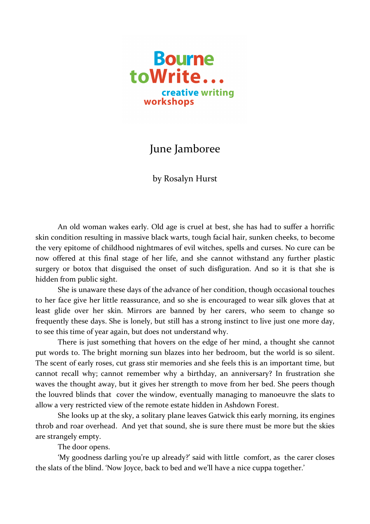

## June Jamboree

by Rosalyn Hurst

An old woman wakes early. Old age is cruel at best, she has had to suffer a horrific skin condition resulting in massive black warts, tough facial hair, sunken cheeks, to become the very epitome of childhood nightmares of evil witches, spells and curses. No cure can be now offered at this final stage of her life, and she cannot withstand any further plastic surgery or botox that disguised the onset of such disfiguration. And so it is that she is hidden from public sight.

She is unaware these days of the advance of her condition, though occasional touches to her face give her little reassurance, and so she is encouraged to wear silk gloves that at least glide over her skin. Mirrors are banned by her carers, who seem to change so frequently these days. She is lonely, but still has a strong instinct to live just one more day, to see this time of year again, but does not understand why.

There is just something that hovers on the edge of her mind, a thought she cannot put words to. The bright morning sun blazes into her bedroom, but the world is so silent. The scent of early roses, cut grass stir memories and she feels this is an important time, but cannot recall why; cannot remember why a birthday, an anniversary? In frustration she waves the thought away, but it gives her strength to move from her bed. She peers though the louvred blinds that cover the window, eventually managing to manoeuvre the slats to allow a very restricted view of the remote estate hidden in Ashdown Forest.

She looks up at the sky, a solitary plane leaves Gatwick this early morning, its engines throb and roar overhead. And yet that sound, she is sure there must be more but the skies are strangely empty.

The door opens.

'My goodness darling you're up already?' said with little comfort, as the carer closes the slats of the blind. 'Now Joyce, back to bed and we'll have a nice cuppa together.'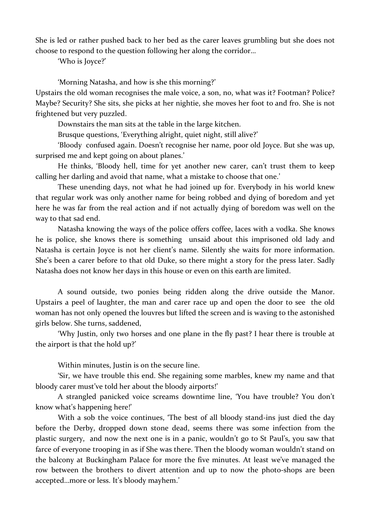She is led or rather pushed back to her bed as the carer leaves grumbling but she does not choose to respond to the question following her along the corridor…

'Who is Joyce?'

'Morning Natasha, and how is she this morning?'

Upstairs the old woman recognises the male voice, a son, no, what was it? Footman? Police? Maybe? Security? She sits, she picks at her nightie, she moves her foot to and fro. She is not frightened but very puzzled.

Downstairs the man sits at the table in the large kitchen.

Brusque questions, 'Everything alright, quiet night, still alive?'

'Bloody confused again. Doesn't recognise her name, poor old Joyce. But she was up, surprised me and kept going on about planes.'

He thinks, 'Bloody hell, time for yet another new carer, can't trust them to keep calling her darling and avoid that name, what a mistake to choose that one.'

These unending days, not what he had joined up for. Everybody in his world knew that regular work was only another name for being robbed and dying of boredom and yet here he was far from the real action and if not actually dying of boredom was well on the way to that sad end.

Natasha knowing the ways of the police offers coffee, laces with a vodka. She knows he is police, she knows there is something unsaid about this imprisoned old lady and Natasha is certain Joyce is not her client's name. Silently she waits for more information. She's been a carer before to that old Duke, so there might a story for the press later. Sadly Natasha does not know her days in this house or even on this earth are limited.

A sound outside, two ponies being ridden along the drive outside the Manor. Upstairs a peel of laughter, the man and carer race up and open the door to see the old woman has not only opened the louvres but lifted the screen and is waving to the astonished girls below. She turns, saddened,

'Why Justin, only two horses and one plane in the fly past? I hear there is trouble at the airport is that the hold up?'

Within minutes, Justin is on the secure line.

'Sir, we have trouble this end. She regaining some marbles, knew my name and that bloody carer must've told her about the bloody airports!'

A strangled panicked voice screams downtime line, 'You have trouble? You don't know what's happening here!'

With a sob the voice continues, 'The best of all bloody stand-ins just died the day before the Derby, dropped down stone dead, seems there was some infection from the plastic surgery, and now the next one is in a panic, wouldn't go to St Paul's, you saw that farce of everyone trooping in as if She was there. Then the bloody woman wouldn't stand on the balcony at Buckingham Palace for more the five minutes. At least we've managed the row between the brothers to divert attention and up to now the photo-shops are been accepted…more or less. It's bloody mayhem.'